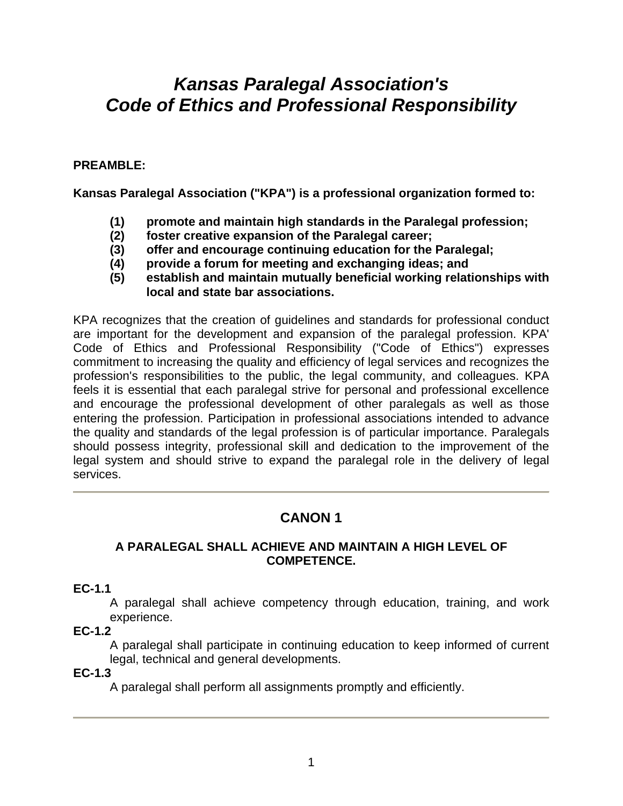# *Kansas Paralegal Association's Code of Ethics and Professional Responsibility*

# **PREAMBLE:**

**Kansas Paralegal Association ("KPA") is a professional organization formed to:** 

- **(1) promote and maintain high standards in the Paralegal profession;**
- **(2) foster creative expansion of the Paralegal career;**
- **(3) offer and encourage continuing education for the Paralegal;**
- **(4) provide a forum for meeting and exchanging ideas; and**
- **(5) establish and maintain mutually beneficial working relationships with local and state bar associations.**

KPA recognizes that the creation of guidelines and standards for professional conduct are important for the development and expansion of the paralegal profession. KPA' Code of Ethics and Professional Responsibility ("Code of Ethics") expresses commitment to increasing the quality and efficiency of legal services and recognizes the profession's responsibilities to the public, the legal community, and colleagues. KPA feels it is essential that each paralegal strive for personal and professional excellence and encourage the professional development of other paralegals as well as those entering the profession. Participation in professional associations intended to advance the quality and standards of the legal profession is of particular importance. Paralegals should possess integrity, professional skill and dedication to the improvement of the legal system and should strive to expand the paralegal role in the delivery of legal services.

# **CANON 1**

#### **A PARALEGAL SHALL ACHIEVE AND MAINTAIN A HIGH LEVEL OF COMPETENCE.**

#### **EC-1.1**

A paralegal shall achieve competency through education, training, and work experience.

#### **EC-1.2**

A paralegal shall participate in continuing education to keep informed of current legal, technical and general developments.

#### **EC-1.3**

A paralegal shall perform all assignments promptly and efficiently.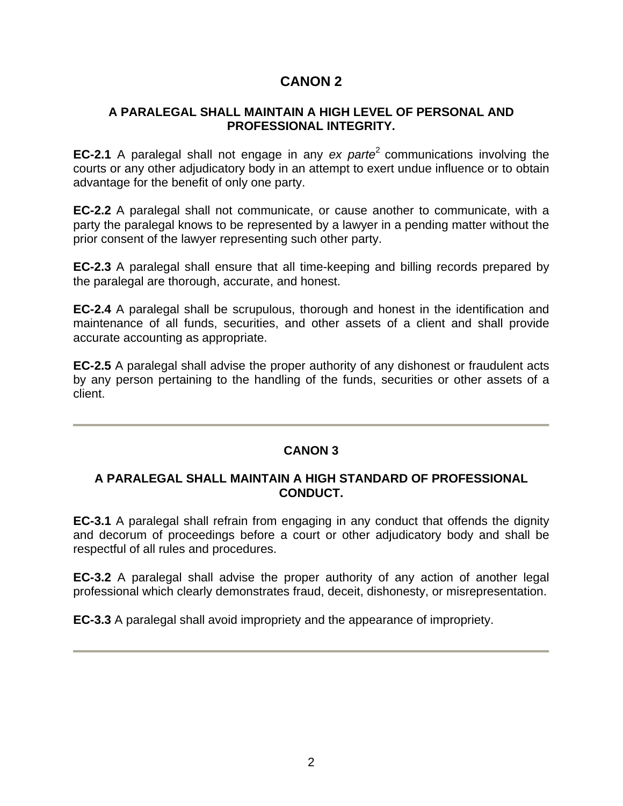# **CANON 2**

# **A PARALEGAL SHALL MAINTAIN A HIGH LEVEL OF PERSONAL AND PROFESSIONAL INTEGRITY.**

**EC-2.1** A paralegal shall not engage in any *ex parte*<sup>2</sup> communications involving the courts or any other adjudicatory body in an attempt to exert undue influence or to obtain advantage for the benefit of only one party.

**EC-2.2** A paralegal shall not communicate, or cause another to communicate, with a party the paralegal knows to be represented by a lawyer in a pending matter without the prior consent of the lawyer representing such other party.

**EC-2.3** A paralegal shall ensure that all time-keeping and billing records prepared by the paralegal are thorough, accurate, and honest.

**EC-2.4** A paralegal shall be scrupulous, thorough and honest in the identification and maintenance of all funds, securities, and other assets of a client and shall provide accurate accounting as appropriate.

**EC-2.5** A paralegal shall advise the proper authority of any dishonest or fraudulent acts by any person pertaining to the handling of the funds, securities or other assets of a client.

# **CANON 3**

#### **A PARALEGAL SHALL MAINTAIN A HIGH STANDARD OF PROFESSIONAL CONDUCT.**

**EC-3.1** A paralegal shall refrain from engaging in any conduct that offends the dignity and decorum of proceedings before a court or other adjudicatory body and shall be respectful of all rules and procedures.

**EC-3.2** A paralegal shall advise the proper authority of any action of another legal professional which clearly demonstrates fraud, deceit, dishonesty, or misrepresentation.

**EC-3.3** A paralegal shall avoid impropriety and the appearance of impropriety.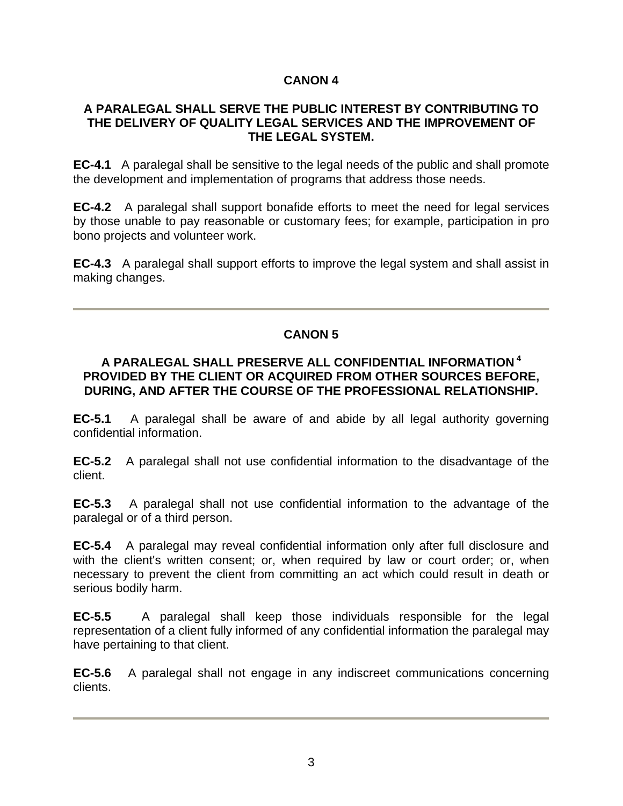# **CANON 4**

#### **A PARALEGAL SHALL SERVE THE PUBLIC INTEREST BY CONTRIBUTING TO THE DELIVERY OF QUALITY LEGAL SERVICES AND THE IMPROVEMENT OF THE LEGAL SYSTEM.**

**EC-4.1** A paralegal shall be sensitive to the legal needs of the public and shall promote the development and implementation of programs that address those needs.

**EC-4.2** A paralegal shall support bonafide efforts to meet the need for legal services by those unable to pay reasonable or customary fees; for example, participation in pro bono projects and volunteer work.

**EC-4.3** A paralegal shall support efforts to improve the legal system and shall assist in making changes.

## **CANON 5**

#### **A PARALEGAL SHALL PRESERVE ALL CONFIDENTIAL INFORMATION 4 PROVIDED BY THE CLIENT OR ACQUIRED FROM OTHER SOURCES BEFORE, DURING, AND AFTER THE COURSE OF THE PROFESSIONAL RELATIONSHIP.**

**EC-5.1** A paralegal shall be aware of and abide by all legal authority governing confidential information.

**EC-5.2** A paralegal shall not use confidential information to the disadvantage of the client.

**EC-5.3** A paralegal shall not use confidential information to the advantage of the paralegal or of a third person.

**EC-5.4** A paralegal may reveal confidential information only after full disclosure and with the client's written consent; or, when required by law or court order; or, when necessary to prevent the client from committing an act which could result in death or serious bodily harm.

**EC-5.5** A paralegal shall keep those individuals responsible for the legal representation of a client fully informed of any confidential information the paralegal may have pertaining to that client.

**EC-5.6** A paralegal shall not engage in any indiscreet communications concerning clients.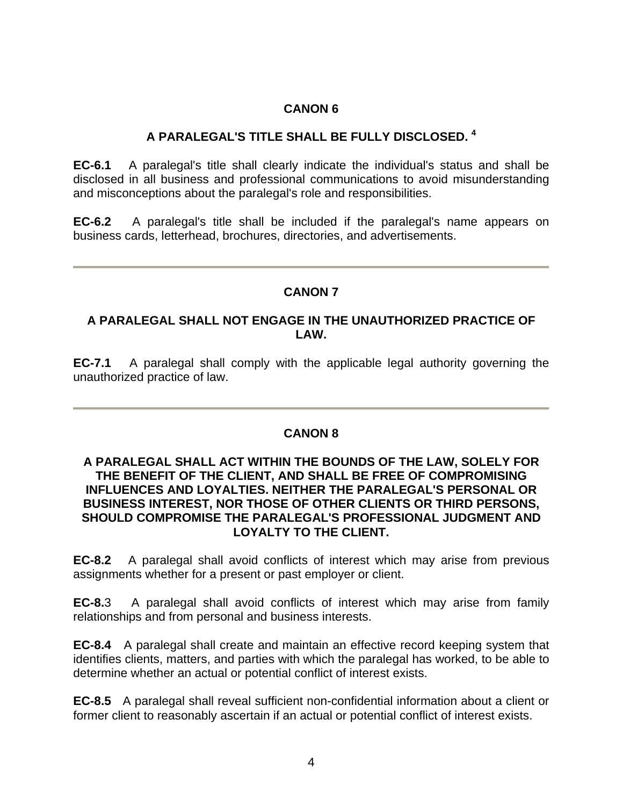# **CANON 6**

# **A PARALEGAL'S TITLE SHALL BE FULLY DISCLOSED. 4**

**EC-6.1** A paralegal's title shall clearly indicate the individual's status and shall be disclosed in all business and professional communications to avoid misunderstanding and misconceptions about the paralegal's role and responsibilities.

**EC-6.2** A paralegal's title shall be included if the paralegal's name appears on business cards, letterhead, brochures, directories, and advertisements.

## **CANON 7**

#### **A PARALEGAL SHALL NOT ENGAGE IN THE UNAUTHORIZED PRACTICE OF LAW.**

**EC-7.1** A paralegal shall comply with the applicable legal authority governing the unauthorized practice of law.

# **CANON 8**

#### **A PARALEGAL SHALL ACT WITHIN THE BOUNDS OF THE LAW, SOLELY FOR THE BENEFIT OF THE CLIENT, AND SHALL BE FREE OF COMPROMISING INFLUENCES AND LOYALTIES. NEITHER THE PARALEGAL'S PERSONAL OR BUSINESS INTEREST, NOR THOSE OF OTHER CLIENTS OR THIRD PERSONS, SHOULD COMPROMISE THE PARALEGAL'S PROFESSIONAL JUDGMENT AND LOYALTY TO THE CLIENT.**

**EC-8.2** A paralegal shall avoid conflicts of interest which may arise from previous assignments whether for a present or past employer or client.

**EC-8.**3 A paralegal shall avoid conflicts of interest which may arise from family relationships and from personal and business interests.

**EC-8.4** A paralegal shall create and maintain an effective record keeping system that identifies clients, matters, and parties with which the paralegal has worked, to be able to determine whether an actual or potential conflict of interest exists.

**EC-8.5** A paralegal shall reveal sufficient non-confidential information about a client or former client to reasonably ascertain if an actual or potential conflict of interest exists.